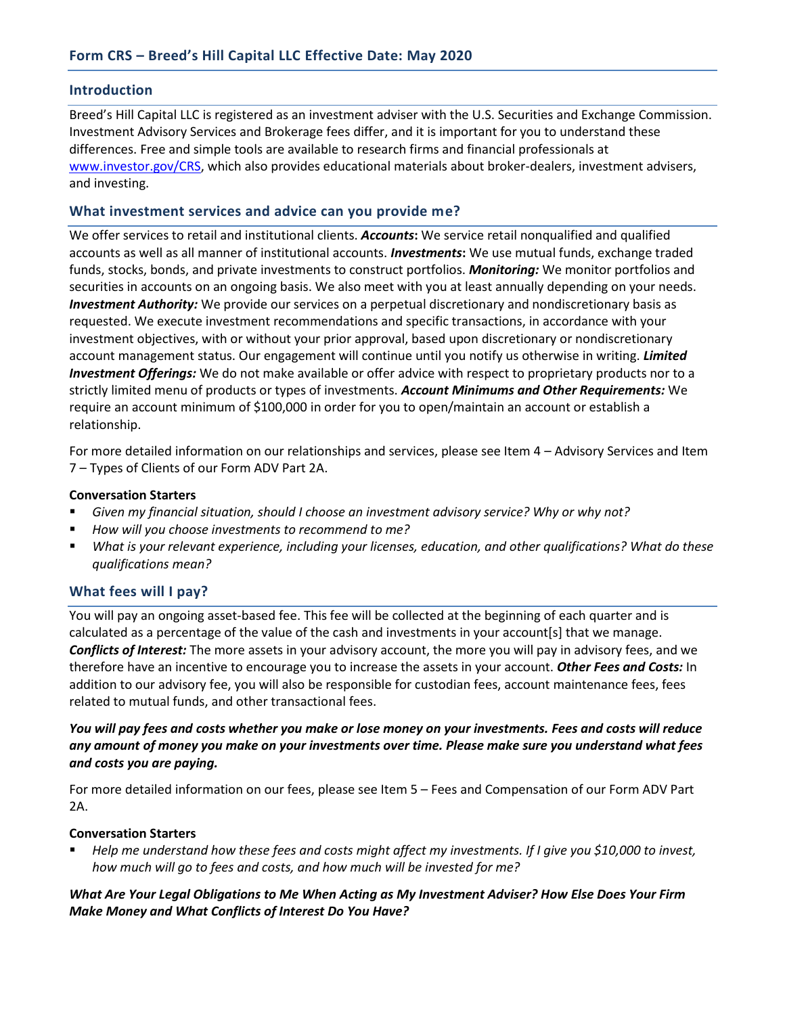### **Introduction**

Breed's Hill Capital LLC is registered as an investment adviser with the U.S. Securities and Exchange Commission. Investment Advisory Services and Brokerage fees differ, and it is important for you to understand these differences. Free and simple tools are available to research firms and financial professionals at [www.investor.gov/CRS,](http://www.investor.gov/CRS) which also provides educational materials about broker-dealers, investment advisers, and investing.

## **What investment services and advice can you provide me?**

We offer services to retail and institutional clients. *Accounts***:** We service retail nonqualified and qualified accounts as well as all manner of institutional accounts. *Investments***:** We use mutual funds, exchange traded funds, stocks, bonds, and private investments to construct portfolios. *Monitoring:* We monitor portfolios and securities in accounts on an ongoing basis. We also meet with you at least annually depending on your needs. *Investment Authority:* We provide our services on a perpetual discretionary and nondiscretionary basis as requested. We execute investment recommendations and specific transactions, in accordance with your investment objectives, with or without your prior approval, based upon discretionary or nondiscretionary account management status. Our engagement will continue until you notify us otherwise in writing. *Limited Investment Offerings:* We do not make available or offer advice with respect to proprietary products nor to a strictly limited menu of products or types of investments. *Account Minimums and Other Requirements:* We require an account minimum of \$100,000 in order for you to open/maintain an account or establish a relationship.

For more detailed information on our relationships and services, please see Item 4 – Advisory Services and Item 7 – Types of Clients of our Form ADV Part 2A.

### **Conversation Starters**

- *Given my financial situation, should I choose an investment advisory service? Why or why not?*
- *How will you choose investments to recommend to me?*
- *What is your relevant experience, including your licenses, education, and other qualifications? What do these qualifications mean?*

## **What fees will I pay?**

You will pay an ongoing asset-based fee. This fee will be collected at the beginning of each quarter and is calculated as a percentage of the value of the cash and investments in your account[s] that we manage. *Conflicts of Interest:* The more assets in your advisory account, the more you will pay in advisory fees, and we therefore have an incentive to encourage you to increase the assets in your account. *Other Fees and Costs:* In addition to our advisory fee, you will also be responsible for custodian fees, account maintenance fees, fees related to mutual funds, and other transactional fees.

## *You will pay fees and costs whether you make or lose money on your investments. Fees and costs will reduce any amount of money you make on your investments over time. Please make sure you understand what fees and costs you are paying.*

For more detailed information on our fees, please see Item 5 – Fees and Compensation of our Form ADV Part 2A.

### **Conversation Starters**

▪ *Help me understand how these fees and costs might affect my investments. If I give you \$10,000 to invest, how much will go to fees and costs, and how much will be invested for me?*

# *What Are Your Legal Obligations to Me When Acting as My Investment Adviser? How Else Does Your Firm Make Money and What Conflicts of Interest Do You Have?*